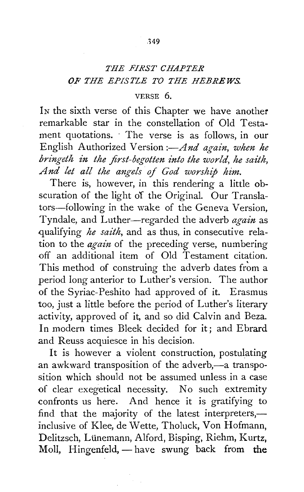## *THE FIRST CHAPTER OF THE EPISTLE TO THE HEBREWS.*

## VERSE 6.

In the sixth verse of this Chapter we have another remarkable star in the constellation of Old Testament quotations. · The verse is as follows, in our English Authorized Version :- And again, when he *bringeth in the first-begotten into the world, he saith, And let all the angels of God worship him.* 

There is, however, in this rendering a little obscuration of the light of the Original. Our Translators-following in the wake of the Geneva Version, Tyndale, and Luther-regarded the adverb *again* as qualifying *he saith,* and as thus, in consecutive relation to the *again* of the preceding verse, numbering off an additional item of Old Testament citation. This method of construing the adverb dates from a period long anterior to Luther's version. The author of the Syriac-Peshito had approved of it. Erasmus too, just a little before the period of Luther's literary activity, approved of it, and so did Calvin and Beza. In modern times Bleek decided for it; and Ebrard and Reuss acquiesce in his decision.

It is however a violent construction, postulating an awkward transposition of the adverb,—a transposition which should not be assumed unless in a case of clear exegetical necessity. No such extremity confronts us here. And hence it is gratifying to find that the majority of the latest interpreters, inclusive of Klee, de Wette, Tholuck, Von Hofmann, Delitzsch, Lünemann, Alford, Bisping, Riehm, Kurtz, Moll, Hingenfeld,  $-$  have swung back from the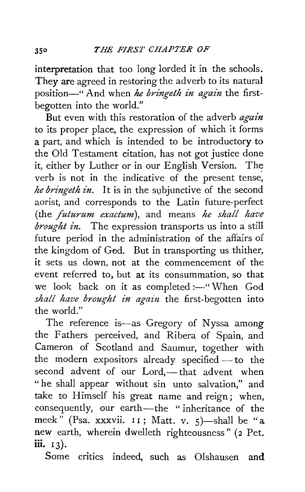interpretation that too long lorded it in the schools. They are agreed in restoring the adverb to its natural position-" And when he *bringeth in again* the firstbegotten into the world."

But even with this restoration of the adverb *again*  to its proper place, the expression of which it forms a part, and which is intended to be introductory to the Old Testament citation, has not got justice done it, either by Luther or in our English Version. The verb is not in the indicative of the present tense, *he bringeth in.* It is in the subjunctive of the second aorist, and corresponds to the Latin future-perfect (the *futurum exactum),* and means *he shall have brought in.* The expression transports us into a still future period in the administration of the affairs of the kingdom of God. But in transporting us thither, it sets us down, not at the commencement of the event referred to, but at its consummation, so that we look back on it as completed :- "When God *shall have brought in again* the first-begotten into the world."

The reference is-as Gregory of Nyssa among the Fathers perceived, and Ribera of Spain, and Cameron of Scotland and Saumur, together with the modern expositors already specified $-$  to the second advent of our Lord,-that advent when "he shall appear without sin unto salvation," and take to Himself his great name and reign; when, consequently, our earth-the "inheritance of the meek" (Psa. xxxvii.  $11$ ; Matt. v. 5)—shall be "a new earth, wherein dwelleth righteousness" (2 Pet. iii. 13).

Some critics indeed, such as Olshausen and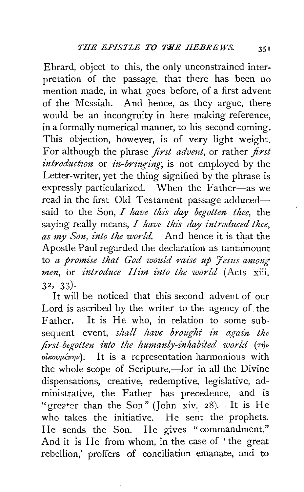Ebrard, object to this, the only unconstrained interpretation of the passage, that there has been no mention made, in what goes before, of a first advent of the Messiah. And hence, as they argue, there would be an incongruity in here making reference, in a formally numerical manner, to his second coming. This objection, however, is of very light weight. For although the phrase *first advmt,* or rather *first introduction* or *in-bringing*, is not employed by the Letter-writer, yet the thing signified by the phrase is expressly particularized. When the Father-as we read in the first Old Testament passage adducedsaid to the Son, *I have this day begotten thee,* the saying really means, *I have this day introduced thee, as my Son, into the world.* And hence it is that the Apostle Paul regarded the declaration as tantamount to a promise that God would raise up *Jesus among men,* or *introduce ltim into the world* (Acts xiii. 32, 33)·

It will be noticed that this second advent of our Lord is ascribed by the writer to the agency of the Father. It is He who, in relation to some subsequent event, *shall have brought in again the first-begotten into the humanly-inhabited world* ( $\tau \psi$  $o$ *i* $kov \mu \in V$ *pv*). It is a representation harmonious with the whole scope of Scripture,-for in all the Divine dispensations, creative, redemptive, legislative, administrative, the Father has precedence, and is "greater than the Son" (John xiv. 28). It is He who takes the initiative. He sent the prophets. He sends the Son. He gives "commandment." And it is He from whom, in the case of 'the great rebellion,' proffers of conciliation emanate, and to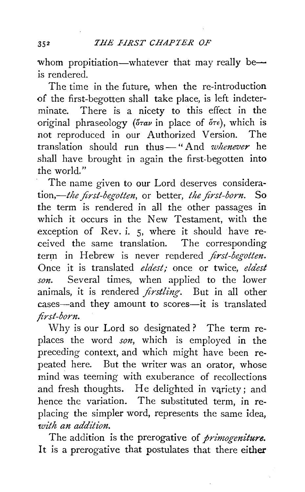whom propitiation—whatever that may really be *is* rendered.

The time in the future, when the re-introduction of the first-begotten shall take place, is left indeterminate. There is a nicety to this effect in the original phraseology  $(\delta \tau a \nu)$  in place of  $\delta \tau \epsilon$ ), which is not reproduced in our Authorized Version. The translation should run thus-" And *whenever* he shall have brought in again the first-begotten into the world."

The name given to our Lord deserves considera*tion,-the first-begotten,* or better, *the first-born.* So the term is rendered in all the other passages in which it occurs in the New Testament, with the exception of Rev. i. 5, where it should have received the same translation. The corresponding term in Hebrew is never rendered *first-begotten*. Once it is translated *eldest;* once or twice, *eldest son.* Several times, when applied to the lower animals, it is rendered *firstling.* But in all other cases—and they amount to scores—it is translated *first-born.* 

Why is our Lord so designated ? The term replaces the word *son,* which is employed in the preceding context, and which might have been repeated here. But the writer was an orator, whose mind was teeming with exuberance of recollections and fresh thoughts. He delighted in variety; and hence the variation. The substituted term, in replacing the simpler word, represents the same idea, *with an addition.* 

The addition is the prerogative of *primogeniture.*  It is a prerogative that postulates that there either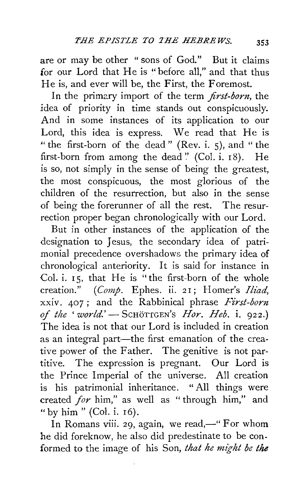are or may be other "sons of God." But it claims for our Lord that He is "before all," and that thus He is, and ever will be, the First, the Foremost.

In the primary import of the term *first-born,* the idea of priority in time stands out conspicuously. And in some instances of its application to our Lord, this idea is express. We read that He is " the first-born of the dead" (Rev. i. 5), and "the first-born from among the dead " (Col. i.  $18$ ). He is so, not simply in the sense of being the greatest, the most conspicuous, the most glorious of the children of the resurrection, but also in the sense of being the forerunner of all the rest. The resurrection proper began chronologically with our Lord.

But in other instances of the application of the designation to Jesus, the secondary idea of patrimonial precedence overshadows the primary idea of chronological anteriority. It is said for instance in Col. i. 15, that He is "the first-born of the whole creation." *(Comp. Ephes. ii. 21; Homer's Iliad,* xxiv. 407 ; and the Rabbinical phrase *First-born of the 'world.'-* ScHoTTGEN's *Hor. Heb.* i. 922.) The idea is not that our Lord is included in creation as an integral part—the first emanation of the creative power of the Father. The genitive is not partitive. The expression is pregnant. Our Lord is the Prince Imperial of the universe. All creation is his patrimonial inheritance. " All things were created *for* him," as well as " through him," and "by him" (Col. i. I6).

In Romans viii. 29, again, we read,—" For whom he did foreknow, he also did predestinate to be conformed to the image of his Son, *that he might be the*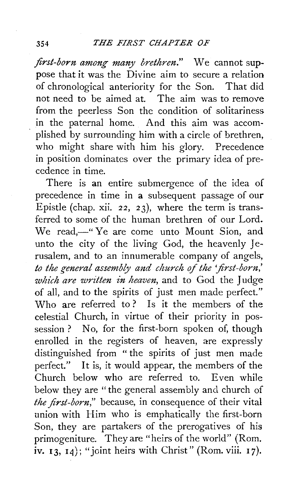## <sup>354</sup>*THE FIRST CHAPTER OF*

*first-born among many brethren."* We cannot suppose that it was the Divine aim to secure a relation of chronological anteriority for the Son. That did not need to be aimed at. The aim was to remove from the peerless Son the condition of solitariness in the paternal home. And this aim was accomplished by surrounding him with a circle of brethren, who might share with him his glory. Precedence in position dominates over the primary idea of precedence in time.

There is an entire submergence of the idea of precedence in time in a subsequent passage of our Epistle (chap. xii. 22, 23), where the term is transferred to some of the human brethren of our Lord. We read,—" Ye are come unto Mount Sion, and unto the city of the living God, the heavenly Jerusalem, and to an innumerable company of angels, to the general assembly and church of the 'first-born,' *which are written in heaven,* and to God the Judge of all, and to the spirits of just men made perfect." Who are referred to? Is it the members of the celestial Church, in virtue of their priority in possession? No, for the first-born spoken of, though enrolled in the registers of heaven, are expressly distinguished from " the spirits of just men made perfect." It is, it would appear, the members of the Church below who are referred to. Even while below they are "the general assembly and church of *the first-born,"* because, in consequence of their vital union with Him who is emphatically the first-born Son, they are partakers of the prerogatives of his primogeniture. They are "heirs of the world" (Rom. iv.  $13, 14$ ); "joint heirs with Christ" (Rom. viii. 17).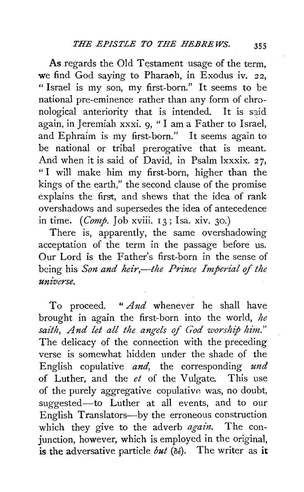As regards the Old Testament usage of the term, we find God saying to Pharaoh, in Exodus iv. *22,*  " Israel is my son, my first-born." It seems to be national pre-eminence rather than any form of chronological anteriority that is intended. It is said again, in Jeremiah xxxi. 9, " I am a Father to Israel, and Ephraim is my first-born." It seems again to be national or tribal prerogative that is meant. And when it is said of David, in Psalm lxxxix. 27, " I will make him my first-born, higher than the kings of the earth," the second clause of the promise explains the first, and shews that the idea of rank overshadows and supersedes the idea of antecedence in time. (*Comp.* Job xviii. 13; Isa. xiv. 30.)

There is, apparently, the same overshadowing acceptation of the term in the passage before us. Our Lord is the Father's first-born in the sense of being his *Son and heir*,—the Prince Imperial of the *unzverse.* 

To proceed. " *And* whenever he shall have brought in again the first-born into the world, *he saith, And let all the angels of God worship him."*  The delicacy of the connection with the preceding verse is somewhat hidden under the shade of the English copulative *and,* the corresponding *und*  of Luther, and the *et* of the V ulgate. This use of the purely aggregative copulative was, no doubt, suggested-to Luther at all events, and to our English Translators-by the erroneous construction which they give to the adverb *again.* The conjunction, however, which is employed in the original, is the adversative particle *but*  $(\delta \epsilon)$ . The writer as it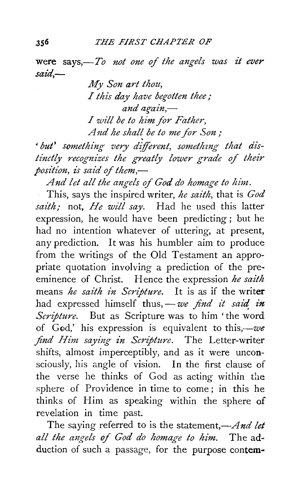were says,-To not one of the angels was it ever *said,-*

> *My Son art thou, I this day have begotten thee;*  and again,-I *will be to him for Father, A 1td he shal{ be to me for Son* ;

• *but' something very dijferent, somethzng that distinctly recognizes the greatly lower grade of their position, is said of them,* 

And let all the angels of God do homage to him.

This, says the inspired writer, *he saith,* that is *God saith;* not, *He will say.* Had he used this latter expression, he would have been predicting ; but he had no intention whatever of uttering, at present, any prediction. It was his humbler aim to produce from the writings of the Old Testament an appropriate quotation involving a prediction of the preeminence of Christ. Hence the expression *he saith*  means *he saith in Scripture.* It is as if the writer had expressed himself thus, - we find it said in *Scripture.* But as Scripture was to him 'the word of GGd,' his expression is equivalent to *this,-we find Him saying in Scripture.* The Letter-writer shifts, almost imperceptibly, and as it were unconsciously, his angle of vision. In the first clause of the verse he thinks of God as acting within the sphere of Providence in time to come ; in this he thinks of Him as speaking within the sphere of revelation in time past.

The saying referred to is the statement,-*And let all the angels of God do homage to him.* The adduction of such a passage, for the purpose contem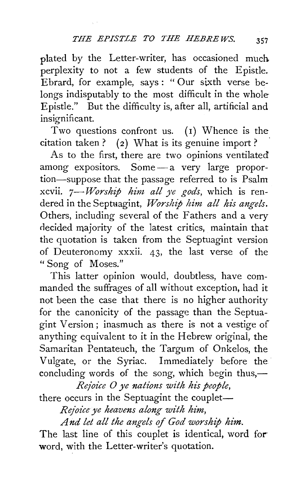plated by the Letter-writer, has occasioned much perplexity to not a few students of the Epistle. Ebrard, for example, says: "Our sixth verse belongs indisputably to the most difficult in the whole Epistle." But the difficulty is, after all, artificial and insignificant.

Two questions confront us. (1) Whence is the citation taken? (2) What is its genuine import?

As to the first, there are two opinions ventilated among expositors. Some - a very large proportion-suppose that the passage referred to is Psalm xcvii. *7-Worship him all ye gods,* which is rendered in the Septuagint, *Worship him all his angels*. Others, including several of the Fathers and a very decided majority of the latest critics, maintain that the quotation is taken from the Septuagint version of Deuteronomy xxxii. 43, the last verse of the "Song of Moses."

This latter opinion would, doubtless, have commanded the suffrages of all without exception, had it not been the case that there is no higher authority for the canonicity of the passage than the Septuagint Version ; inasmuch as there is not a vestige of anything equivalent to it in the Hebrew original, the Samaritan Pentateuch, the Targum of Onkelos, the Vulgate, or the Syriac. Immediately before the concluding words of the song, which begin thus,—

*Rejoice 0 ye nations with his people,* 

there occurs in the Septuagint the couplet-

*Rejoice ye heavens along with him,* 

*And let all the angels of God worship him.* 

The last line of this couplet is identical, word for word, with the Letter-writer's quotation.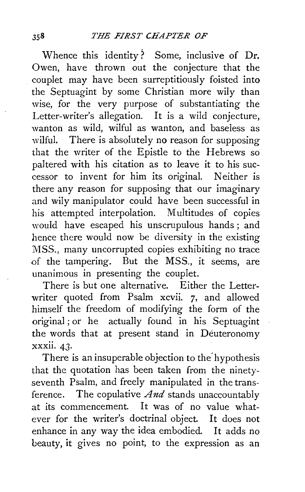Whence this identity? Some, inclusive of Dr. Owen, have thrown out the conjecture that the couplet may have been surreptitiously foisted into the Septuagint by some Christian more wily than wise, for the very purpose of substantiating the Letter-writer's allegation. It is a wild conjecture, wanton as wild, wilful as wanton, and baseless as wilful. There is absolutely no reason for supposing that the writer of the Epistle to the Hebrews so paltered with his citation as to leave it to his successor to invent for him its original. Neither is there any reason for supposing that our imaginary and wily manipulator could have been successful in his attempted interpolation. Multitudes of copies would have escaped his unscrupulous hands ; and hence there would now be diversity in the existing MSS., many uncorrupted copies exhibiting no trace of the tampering. But the MSS., it seems, are unanimous in presenting the couplet.

There is but one alternative. Either the Letterwriter quoted from Psalm xcvii. 7, and allowed himself the freedom of modifying the form of the original ; or he actually found in his Septuagint the words that at present stand in Deuteronomy xxxii. 43·

There is an insuperable objection to the' hypothesis that the quotation has been taken from the ninetyseventh Psalm, and freely manipulated in the transference. The copulative *And* stands unaccountably at its commencement. It was of no value whatever for the writer's doctrinal object. It does not enhance in any way the idea embodied. It adds no beauty, it gives no point, to the expression as an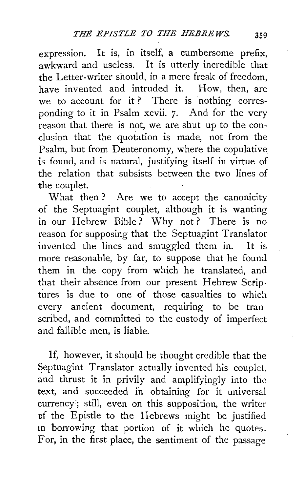expression. It is, in itself, a cumbersome prefix, awkward and useless. It is utterly incredible that the Letter-writer should, in a mere freak of freedom, have invented and intruded it. How, then, are we to account for it? There is nothing corresponding to it in Psalm xcvii. 7. And for the very reason that there is not, we are shut up to the conclusion that the quotation is made, not from the Psalm, but from Deuteronomy, where the copulative is found, and is natural, justifying itself in virtue of the relation that subsists between the two lines of the couplet.

What then? Are we to accept the canonicity of the Septuagint couplet, although it is wanting in our Hebrew Bible? Why not? There is no reason for supposing that the Septuagint Translator invented the lines and smuggled them in. It is more reasonable, by far, to suppose that he found them in the copy from which he translated, and that their absence from our present Hebrew Scriptures is due to one of those casualties to which every ancient document, requiring to be transcribed, and committed to the custody of imperfect and fallible men, is liable.

If, however, it should be thought credible that the Septuagint Translator actually invented his couplet, and thrust it in privily and amplifyingly into the text, and succeeded in obtaining for it universal currency:; still, even on this supposition, the writer of the Epistle to the Hebrews might be justified in borrowing that portion of it which he quotes. For, in the first place, the sentiment of the passage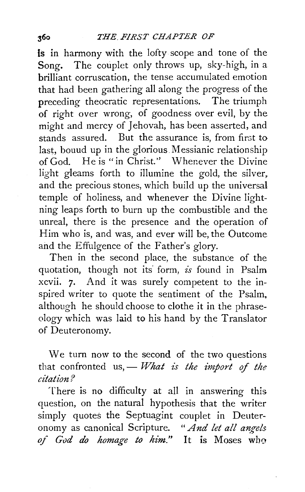Is in harmony with the lofty. scope and tone of the Song. The couplet only throws up, sky-high, in a brilliant corruscation, the tense accumulated emotion that had been gathering all along the progress of the preceding theocratic representations. The triumph of right over wrong, of goodness over evil, by the might and mercy of Jehovah, has been asserted, and stands assured. But the assurance is, from first to last, bouud up in the glorious Messianic relationship of God. He is "in Christ." Whenever the Divine light gleams forth to illumine the gold, the silver, and the precious stones, which build up the universal temple of holiness, and whenever the Divine lightning leaps forth to burn up the combustible and the unreal, there is the presence and the operation of Him who is, and was, and ever will be, the Outcome and the Effulgence of the Father's glory.

Then in the second place, the substance of the quotation, though not its' form, *is* found in Psalm xcvii. 7. And it was surely competent to the inspired writer to quote the sentiment of the Psalm. although he should choose to clothe it in the phraseology which was laid to his hand by the Translator of Deuteronomy.

We turn now to the second of the two questions that confronted us, - *What is the import of the citation?* 

There is no difficulty at all in answering this question, on the natural hypothesis that the writer simply quotes the Septuagint couplet in Deuteronomy as canonical Scripture. *"And let all angels of God do homage to him."* It is Moses who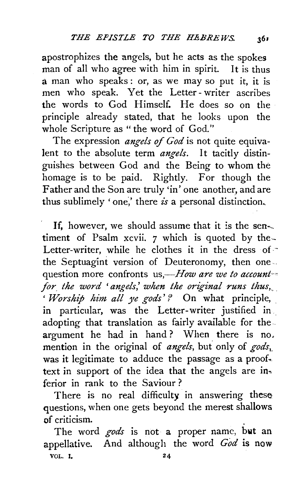apostrophizes the angels, but he acts as the spokes man of all who agree with him in spirit. It is thus a man who speaks: or, as we may so put it, it is men who speak. Yet the Letter- writer ascribes the words to God Himself. He does so on the principle already stated, that he looks upon the whole Scripture as "the word of God."

The expression *angels of God* is not quite equivalent to the absolute term *angels.* It tacitly distinguishes between God and the Being to whom the homage is to be paid. Rightly. For though the Father and the Son are truly 'in' one another, and are thus sublimely 'one,' there *is* a personal distinction.

If, however, we should assume that it is the sentiment of Psalm xcvii. 7 which is quoted by the-- Letter-writer, while he clothes it in the dress of the Septuagint version of Deuteronomy, then one ... question more confronts us,—*How are we to account* for the word 'angels,' when the original runs thus,  $Worship\ him\ all\ ye\ gods?$  On what principle, in particular, was the Letter-writer justified in adopting that translation as fairly available for the argument he had in hand? When there is no. mention in the original of *angels*, but only of *gods*, was it legitimate to adduce the passage as a proof. text in support of the idea that the angels are inferior in rank to the Saviour ?

There is no real difficulty in answering these questions, when one gets beyond the merest shallows of criticism. .

The word *gods* is not a proper name, **bwt an**  appellative. And although the word *God* is now VOL. I. 24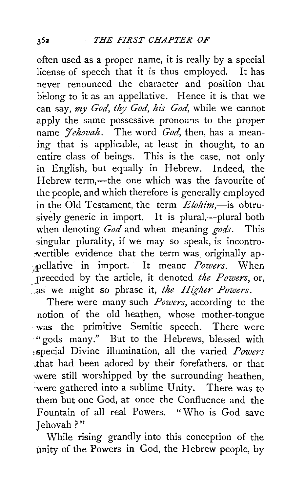often used as a proper name, it is really by a special license of speech that it is thus employed. It has never renounced the character and position that belong to it as an appellative. Hence it is that we can say, my God, thy God, his God, while we cannot apply the same possessive pronouns to the proper name *'Jehovah.* The word *God,* then, has a meaning that is applicable, at least in thought, to an entire class of beings. This is the case, not only in English, but equally in Hebrew. Indeed, the Hebrew term,-the one which was the favourite of the people, and which therefore is generally employed in the Old Testament, the term *Elohim*,-is obtrusively generic in import. It is plural,—plural both when denoting *God* and when meaning *gods.* This singular plurality, if we may so speak, is incontro wertible evidence that the term was originally ap-;pellative in import. · It meant *Powers.* When \_preceded by the article, it denoted *the Powers,* or, as we might so phrase it, *the Higher Powers*.

There were many such *Powers,* according to the notion of the old heathen, whose mother-tongue · was the primitive Semitic speech. There were ·"gods many." But to the Hebrews, blessed with :special Divine illnmination, all the varied *Powers*  that had been adored by their forefathers, or that were still worshipped by the surrounding heathen, were gathered into a sublime Unity. There was to them but one God, at once the Confluence and the Fountain of all real Powers. "Who is God save Jehovah ?"

While rising grandly into this conception of the unity of the Powers in God, the Hebrew people, by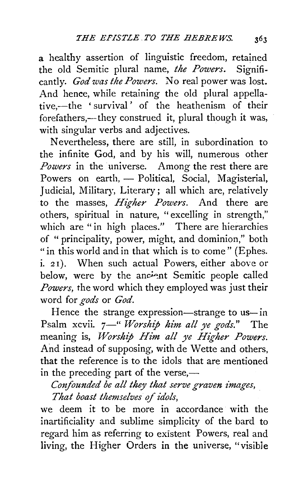a healthy assertion of linguistic freedom, retained the old Semitic plural name, *the Powers.* Significantly. *God was the Powers.* No real power was lost. And hence, while retaining the old plural appellative,-the 'survival' of the heathenism of their forefathers,—they construed it, plural though it was, with singular verbs and adjectives.

Nevertheless, there are still, in subordination to the infinite God, and by his will, numerous other *Powers* in the universe. Among the rest there are Powers on earth, - Political, Social, Magisterial, Judicial, Military, Literary; all which are, relatively to the masses, *Higher Powers.* And there are others, spiritual in nature, " excelling in strength," which are "in high places." There are hierarchies of " principality, power, might, and dominion," both "in this world and in that which is to come" (Ephes. i. 21). When such actual Powers, either above or below, were by the ancient Semitic people called *Powers,* the word which they employed was just their word for *gods* or *God.* 

Hence the strange expression—strange to us—in Psalm xcvii. 7<sup>-"</sup> *Worship him all ye gods.*" The meaning is, *Worship Him all ye Higher Powers.*  And instead of supposing, with de Wette and others, that the reference is to the idols that are mentioned in the preceding part of the verse,—

*Cmifounded be all they that serve graven images, That boast themselves of idols,* 

we deem it to be more in accordance with the inartificiality and sublime simplicity of the bard to regard him as referring to existent Powers, real and living, the Higher Orders in the universe, "visible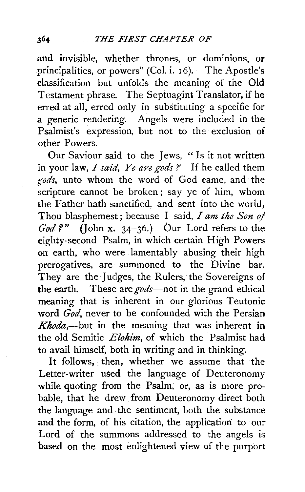and invisible, whether thrones, or dominions, or principalities, or powers" (Col. i. 16). The Apostle's classification but unfolds the meaning of the Old Testament phrase. The Septuagint Translator, if he erred at all, erred only in substituting a specific for a generic rendering. Angels were included in the Psalmist's expression, but not to the exclusion of other Powers.

Our Saviour said to the Jews, " Is it not written in your law, *I said, Ye are gods ?* If he called them *gods,* unto whom the word of God came, and· the scripture cannot be broken; say ye of him, whom the Father hath sanctified, and sent into the world, Thou blasphemest; because I said, *I am the Son oj God?"* (John x. 34-36.) *bur* Lord refers to the eighty-second Psalm, in which certain High Powers on earth, who were lamentably abusing their high prerogatives, are summoned to the Divine bar. They are the judges, the Rulers, the Sovereigns of the earth. These are gods-not in the grand ethical meaning that is inherent in our glorious Teutonic word *God*, never to be confounded with the Persian *Khoda*,—but in the meaning that was inherent in the old Semitic *Elohim,* of which the Psalmist had to avail himself, both in writing and in thinking.

It follows, then, whether we assume that the Letter-writer used the language of Deuteronomy while quoting from the Psalm, or, as is more probable, that he drew from Deuteronomy direct both the language and. the sentiment, both the substance and the form, of his citation, the application to our Lord of the summons addressed to the angels is based on the most enlightened view of the purport